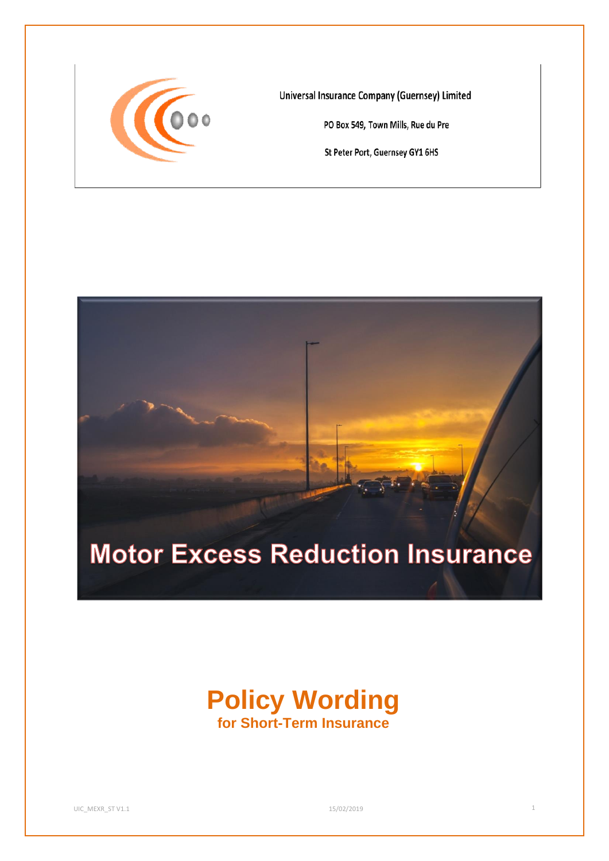

**Universal Insurance Company (Guernsey) Limited** 

PO Box 549, Town Mills, Rue du Pre

St Peter Port, Guernsey GY1 6HS



# **Policy Wording for Short-Term Insurance**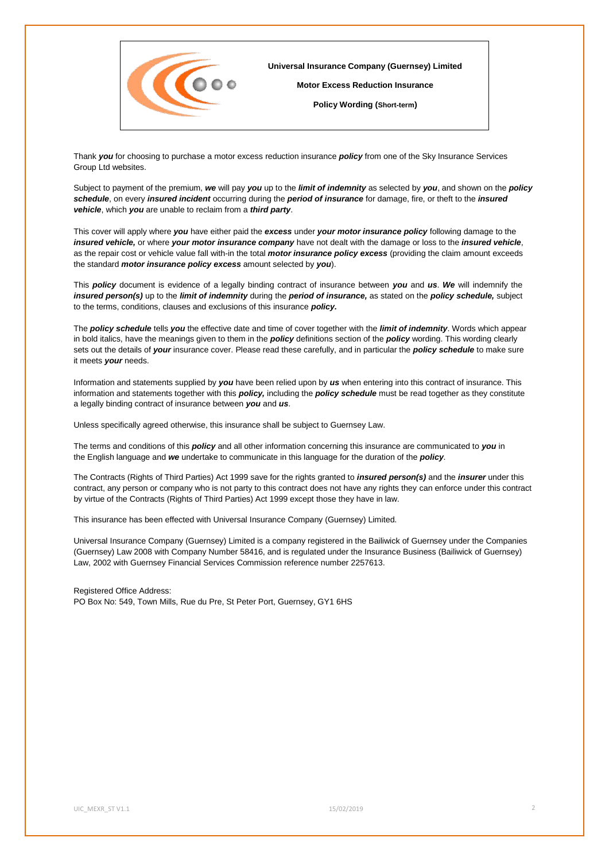

Thank *you* for choosing to purchase a motor excess reduction insurance *policy* from one of the Sky Insurance Services Group Ltd websites.

Subject to payment of the premium, *we* will pay *you* up to the *limit of indemnity* as selected by *you*, and shown on the *policy schedule*, on every *insured incident* occurring during the *period of insurance* for damage, fire, or theft to the *insured vehicle*, which *you* are unable to reclaim from a *third party*.

This cover will apply where *you* have either paid the *excess* under *your motor insurance policy* following damage to the *insured vehicle,* or where *your motor insurance company* have not dealt with the damage or loss to the *insured vehicle*, as the repair cost or vehicle value fall with-in the total *motor insurance policy excess* (providing the claim amount exceeds the standard *motor insurance policy excess* amount selected by *you*).

This *policy* document is evidence of a legally binding contract of insurance between *you* and *us*. *We* will indemnify the *insured person(s)* up to the *limit of indemnity* during the *period of insurance,* as stated on the *policy schedule,* subject to the terms, conditions, clauses and exclusions of this insurance *policy.*

The *policy schedule* tells *you* the effective date and time of cover together with the *limit of indemnity*. Words which appear in bold italics, have the meanings given to them in the *policy* definitions section of the *policy* wording. This wording clearly sets out the details of *your* insurance cover. Please read these carefully, and in particular the *policy schedule* to make sure it meets *your* needs.

Information and statements supplied by *you* have been relied upon by *us* when entering into this contract of insurance. This information and statements together with this *policy,* including the *policy schedule* must be read together as they constitute a legally binding contract of insurance between *you* and *us*.

Unless specifically agreed otherwise, this insurance shall be subject to Guernsey Law.

The terms and conditions of this *policy* and all other information concerning this insurance are communicated to *you* in the English language and *we* undertake to communicate in this language for the duration of the *policy*.

The Contracts (Rights of Third Parties) Act 1999 save for the rights granted to *insured person(s)* and the *insurer* under this contract, any person or company who is not party to this contract does not have any rights they can enforce under this contract by virtue of the Contracts (Rights of Third Parties) Act 1999 except those they have in law.

This insurance has been effected with Universal Insurance Company (Guernsey) Limited.

Universal Insurance Company (Guernsey) Limited is a company registered in the Bailiwick of Guernsey under the Companies (Guernsey) Law 2008 with Company Number 58416, and is regulated under the Insurance Business (Bailiwick of Guernsey) Law, 2002 with Guernsey Financial Services Commission reference number 2257613.

Registered Office Address: PO Box No: 549, Town Mills, Rue du Pre, St Peter Port, Guernsey, GY1 6HS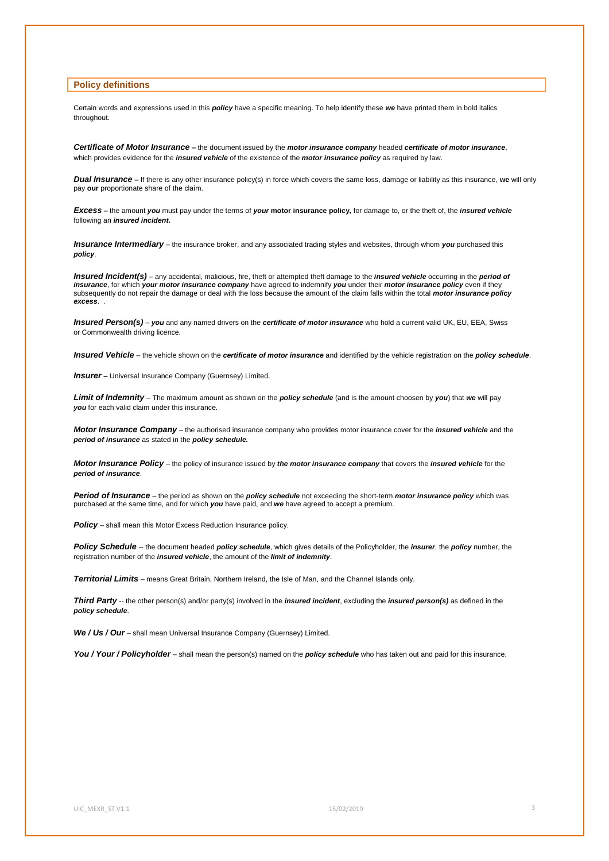## **Policy definitions**

Certain words and expressions used in this *policy* have a specific meaning. To help identify these *we* have printed them in bold italics throughout.

*Certificate of Motor Insurance –* the document issued by the *motor insurance company* headed *certificate of motor insurance*, which provides evidence for the *insured vehicle* of the existence of the *motor insurance policy* as required by law.

*Dual Insurance –* If there is any other insurance policy(s) in force which covers the same loss, damage or liability as this insurance, **we** will only pay **our** proportionate share of the claim.

*Excess –* the amount *you* must pay under the terms of *your* **motor insurance policy***,* for damage to, or the theft of, the *insured vehicle* following an *insured incident.*

*Insurance Intermediary* – the insurance broker, and any associated trading styles and websites, through whom *you* purchased this *policy*.

*Insured Incident(s) –* any accidental, malicious, fire, theft or attempted theft damage to the *insured vehicle* occurring in the *period of insurance*, for which *your motor insurance company* have agreed to indemnify *you* under their *motor insurance policy* even if they subsequently do not repair the damage or deal with the loss because the amount of the claim falls within the total *motor insurance policy excess*. .

**Insured Person(s)** – *you* and any named drivers on the *certificate of motor insurance* who hold a current valid UK, EU, EEA, Swiss or Commonwealth driving licence.

*Insured Vehicle* – the vehicle shown on the *certificate of motor insurance* and identified by the vehicle registration on the *policy schedule*.

**Insurer** - Universal Insurance Company (Guernsey) Limited.

*Limit of Indemnity –* The maximum amount as shown on the *policy schedule* (and is the amount choosen by *you*) that *we* will pay *you* for each valid claim under this insurance*.*

*Motor Insurance Company* – the authorised insurance company who provides motor insurance cover for the *insured vehicle* and the *period of insurance* as stated in the *policy schedule.*

*Motor Insurance Policy* – the policy of insurance issued by *the motor insurance company* that covers the *insured vehicle* for the *period of insurance*.

*Period of Insurance* – the period as shown on the *policy schedule* not exceeding the short-term *motor insurance policy* which was purchased at the same time, and for which *you* have paid, and *we* have agreed to accept a premium.

**Policy** – shall mean this Motor Excess Reduction Insurance policy.

*Policy Schedule* -- the document headed *policy schedule*, which gives details of the Policyholder, the *insurer*, the *policy* number, the registration number of the *insured vehicle*, the amount of the *limit of indemnity*.

*Territorial Limits* – means Great Britain, Northern Ireland, the Isle of Man, and the Channel Islands only.

*Third Party* -- the other person(s) and/or party(s) involved in the *insured incident*, excluding the *insured person(s)* as defined in the *policy schedule*.

*We / Us / Our –* shall mean Universal Insurance Company (Guernsey) Limited.

*You / Your / Policyholder –* shall mean the person(s) named on the *policy schedule* who has taken out and paid for this insurance.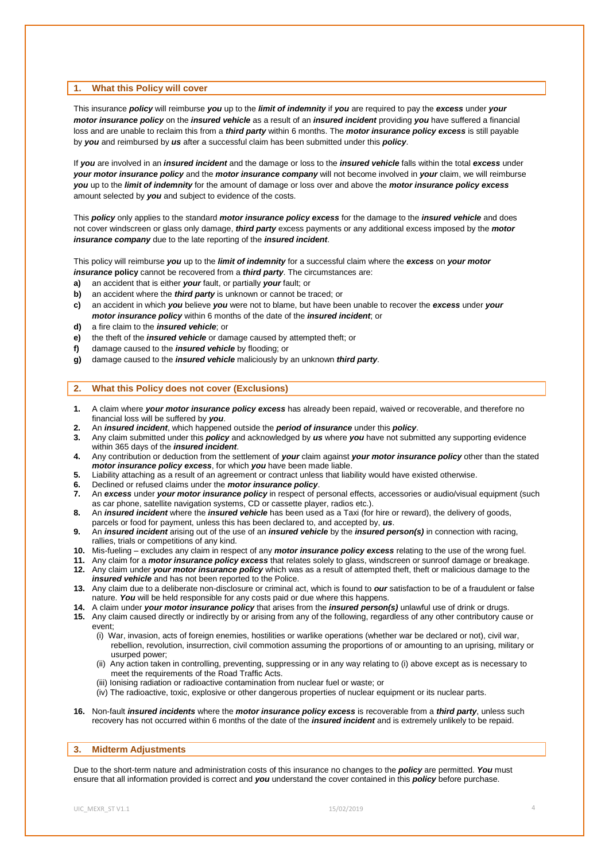## **1. What this Policy will cover**

This insurance *policy* will reimburse *you* up to the *limit of indemnity* if *you* are required to pay the *excess* under *your motor insurance policy* on the *insured vehicle* as a result of an *insured incident* providing *you* have suffered a financial loss and are unable to reclaim this from a *third party* within 6 months. The *motor insurance policy excess* is still payable by *you* and reimbursed by *us* after a successful claim has been submitted under this *policy*.

If *you* are involved in an *insured incident* and the damage or loss to the *insured vehicle* falls within the total *excess* under *your motor insurance policy* and the *motor insurance company* will not become involved in *your* claim, we will reimburse *you* up to the *limit of indemnity* for the amount of damage or loss over and above the *motor insurance policy excess* amount selected by *you* and subject to evidence of the costs.

This *policy* only applies to the standard *motor insurance policy excess* for the damage to the *insured vehicle* and does not cover windscreen or glass only damage, *third party* excess payments or any additional excess imposed by the *motor insurance company* due to the late reporting of the *insured incident*.

This policy will reimburse *you* up to the *limit of indemnity* for a successful claim where the *excess* on *your motor insurance* **policy** cannot be recovered from a *third party*. The circumstances are:

- **a)** an accident that is either *your* fault, or partially *your* fault; or
- **b)** an accident where the *third party* is unknown or cannot be traced; or
- **c)** an accident in which *you* believe *you* were not to blame, but have been unable to recover the *excess* under *your motor insurance policy* within 6 months of the date of the *insured incident*; or
- **d)** a fire claim to the *insured vehicle*; or
- **e)** the theft of the *insured vehicle* or damage caused by attempted theft; or
- **f)** damage caused to the *insured vehicle* by flooding; or
- **g)** damage caused to the *insured vehicle* maliciously by an unknown *third party*.

## **2. What this Policy does not cover (Exclusions)**

- **1.** A claim where *your motor insurance policy excess* has already been repaid, waived or recoverable, and therefore no financial loss will be suffered by *you*.
- **2.** An *insured incident*, which happened outside the *period of insurance* under this *policy*.
- **3.** Any claim submitted under this *policy* and acknowledged by *us* where *you* have not submitted any supporting evidence within 365 days of the *insured incident*.
- **4.** Any contribution or deduction from the settlement of *your* claim against *your motor insurance policy* other than the stated *motor insurance policy excess*, for which *you* have been made liable.
- **5.** Liability attaching as a result of an agreement or contract unless that liability would have existed otherwise.
- **6.** Declined or refused claims under the *motor insurance policy*.
- **7.** An *excess* under *your motor insurance policy* in respect of personal effects, accessories or audio/visual equipment (such as car phone, satellite navigation systems, CD or cassette player, radios etc.).
- **8.** An *insured incident* where the *insured vehicle* has been used as a Taxi (for hire or reward), the delivery of goods, parcels or food for payment, unless this has been declared to, and accepted by, *us*.
- **9.** An *insured incident* arising out of the use of an *insured vehicle* by the *insured person(s)* in connection with racing, rallies, trials or competitions of any kind.
- **10.** Mis-fueling excludes any claim in respect of any *motor insurance policy excess* relating to the use of the wrong fuel.
- **11.** Any claim for a *motor insurance policy excess* that relates solely to glass, windscreen or sunroof damage or breakage. **12.** Any claim under *your motor insurance policy* which was as a result of attempted theft, theft or malicious damage to the
- *insured vehicle* and has not been reported to the Police. **13.** Any claim due to a deliberate non-disclosure or criminal act, which is found to *our* satisfaction to be of a fraudulent or false nature. *You* will be held responsible for any costs paid or due where this happens.
- **14.** A claim under *your motor insurance policy* that arises from the *insured person(s)* unlawful use of drink or drugs.
- **15.** Any claim caused directly or indirectly by or arising from any of the following, regardless of any other contributory cause or
- event;
	- (i) War, invasion, acts of foreign enemies, hostilities or warlike operations (whether war be declared or not), civil war, rebellion, revolution, insurrection, civil commotion assuming the proportions of or amounting to an uprising, military or usurped power;
	- (ii) Any action taken in controlling, preventing, suppressing or in any way relating to (i) above except as is necessary to meet the requirements of the Road Traffic Acts.
	- (iii) Ionising radiation or radioactive contamination from nuclear fuel or waste; or
	- (iv) The radioactive, toxic, explosive or other dangerous properties of nuclear equipment or its nuclear parts.
- **16.** Non-fault *insured incidents* where the *motor insurance policy excess* is recoverable from a *third party*, unless such recovery has not occurred within 6 months of the date of the *insured incident* and is extremely unlikely to be repaid.

# **3. Midterm Adjustments**

Due to the short-term nature and administration costs of this insurance no changes to the *policy* are permitted. *You* must ensure that all information provided is correct and *you* understand the cover contained in this *policy* before purchase.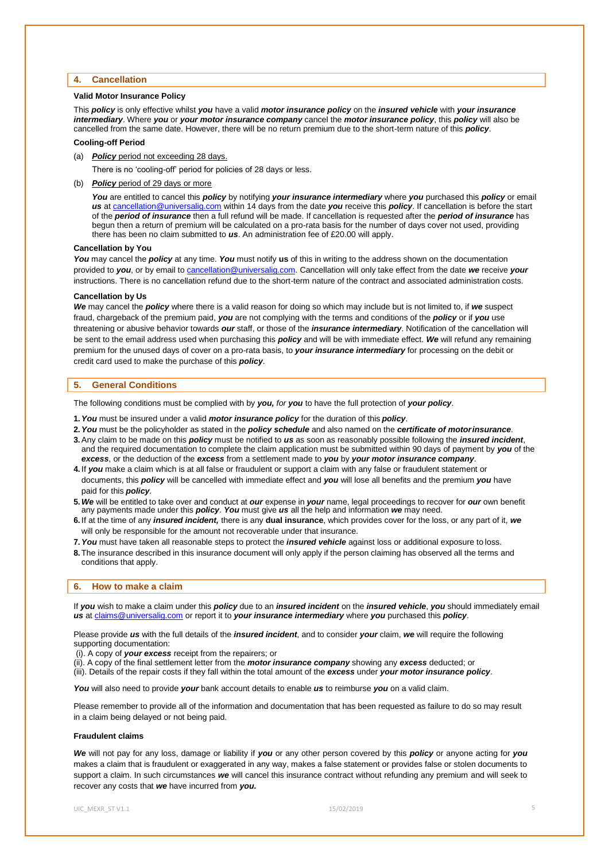## **4. Cancellation**

## **Valid Motor Insurance Policy**

This *policy* is only effective whilst *you* have a valid *motor insurance policy* on the *insured vehicle* with *your insurance intermediary*. Where *you* or *your motor insurance company* cancel the *motor insurance policy*, this *policy* will also be cancelled from the same date. However, there will be no return premium due to the short-term nature of this *policy*.

## **Cooling-off Period**

(a) *Policy* period not exceeding 28 days.

There is no 'cooling-off' period for policies of 28 days or less.

(b) *Policy* period of 29 days or more

*You* are entitled to cancel this *policy* by notifying *your insurance intermediary* where *you* purchased this *policy* or email *us* at [cancellation@universalig.com](mailto:cancellation@universalig.com) within 14 days from the date *you* receive this *policy*. If cancellation is before the start of the *period of insurance* then a full refund will be made. If cancellation is requested after the *period of insurance* has begun then a return of premium will be calculated on a pro-rata basis for the number of days cover not used, providing there has been no claim submitted to *us*. An administration fee of £20.00 will apply.

#### **Cancellation by You**

*You* may cancel the *policy* at any time. *You* must notify **us** of this in writing to the address shown on the documentation provided to *you*, or by email to [cancellation@universalig.com.](mailto:cancellation@universalig.com) Cancellation will only take effect from the date *we* receive *your* instructions. There is no cancellation refund due to the short-term nature of the contract and associated administration costs.

#### **Cancellation by Us**

*We* may cancel the *policy* where there is a valid reason for doing so which may include but is not limited to, if *we* suspect fraud, chargeback of the premium paid, *you* are not complying with the terms and conditions of the *policy* or if *you* use threatening or abusive behavior towards *our* staff, or those of the *insurance intermediary*. Notification of the cancellation will be sent to the email address used when purchasing this *policy* and will be with immediate effect. *We* will refund any remaining premium for the unused days of cover on a pro-rata basis, to *your insurance intermediary* for processing on the debit or credit card used to make the purchase of this *policy*.

## **5. General Conditions**

The following conditions must be complied with by *you, for you* to have the full protection of *your policy*.

- **1.***You* must be insured under a valid *motor insurance policy* for the duration of this *policy*.
- **2.***You* must be the policyholder as stated in the *policy schedule* and also named on the *certificate of motorinsurance*.
- **3.**Any claim to be made on this *policy* must be notified to *us* as soon as reasonably possible following the *insured incident*, and the required documentation to complete the claim application must be submitted within 90 days of payment by *you* of the *excess*, or the deduction of the *excess* from a settlement made to *you* by *your motor insurance company*.
- **4.** If *you* make a claim which is at all false or fraudulent or support a claim with any false or fraudulent statement or documents, this *policy* will be cancelled with immediate effect and *you* will lose all benefits and the premium *you* have paid for this *policy*.
- **5.***We* will be entitled to take over and conduct at *our* expense in *your* name, legal proceedings to recover for *our* own benefit any payments made under this *policy*. *You* must give *us* all the help and information *we* may need.
- **6.** If at the time of any *insured incident,* there is any **dual insurance**, which provides cover for the loss, or any part of it, *we* will only be responsible for the amount not recoverable under that insurance.
- **7.***You* must have taken all reasonable steps to protect the *insured vehicle* against loss or additional exposure to loss.
- **8.**The insurance described in this insurance document will only apply if the person claiming has observed all the terms and conditions that apply.

# **6. How to make a claim**

If *you* wish to make a claim under this *policy* due to an *insured incident* on the *insured vehicle*, *you* should immediately email *us* a[t claims@universalig.com](mailto:claims@universalig.com) or report it to *your insurance intermediary* where *you* purchased this *policy*.

Please provide *us* with the full details of the *insured incident*, and to consider *your* claim, *we* will require the following supporting documentation:

- (i). A copy of *your excess* receipt from the repairers; or
- (ii). A copy of the final settlement letter from the *motor insurance company* showing any *excess* deducted; or
- (iii). Details of the repair costs if they fall within the total amount of the *excess* under *your motor insurance policy*.

*You* will also need to provide *your* bank account details to enable *us* to reimburse *you* on a valid claim.

Please remember to provide all of the information and documentation that has been requested as failure to do so may result in a claim being delayed or not being paid.

## **Fraudulent claims**

*We* will not pay for any loss, damage or liability if *you* or any other person covered by this *policy* or anyone acting for *you*  makes a claim that is fraudulent or exaggerated in any way, makes a false statement or provides false or stolen documents to support a claim. In such circumstances *we* will cancel this insurance contract without refunding any premium and will seek to recover any costs that *we* have incurred from *you.*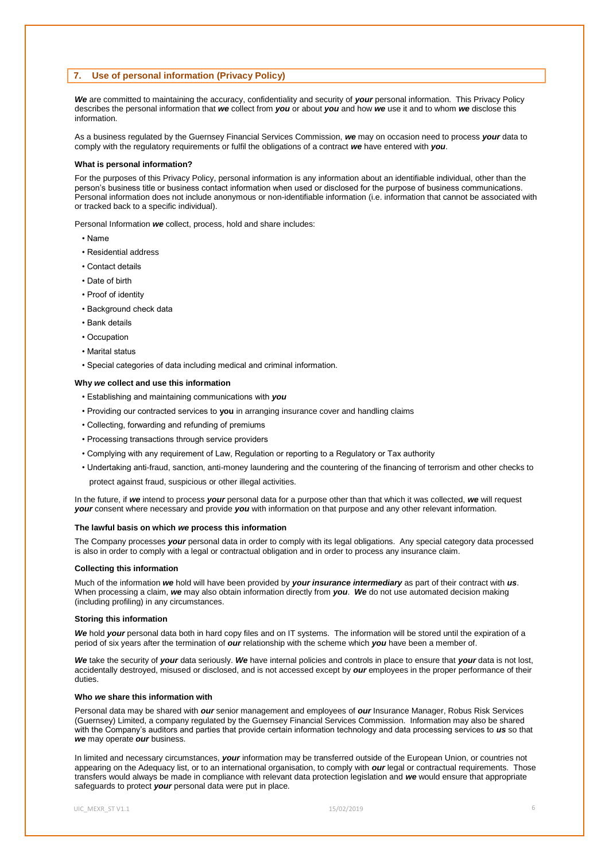# **7. Use of personal information (Privacy Policy)**

*We* are committed to maintaining the accuracy, confidentiality and security of *your* personal information. This Privacy Policy describes the personal information that *we* collect from *you* or about *you* and how *we* use it and to whom *we* disclose this information.

As a business regulated by the Guernsey Financial Services Commission, *we* may on occasion need to process *your* data to comply with the regulatory requirements or fulfil the obligations of a contract *we* have entered with *you*.

#### **What is personal information?**

For the purposes of this Privacy Policy, personal information is any information about an identifiable individual, other than the person's business title or business contact information when used or disclosed for the purpose of business communications. Personal information does not include anonymous or non-identifiable information (i.e. information that cannot be associated with or tracked back to a specific individual).

Personal Information *we* collect, process, hold and share includes:

- Name
- Residential address
- Contact details
- Date of birth
- Proof of identity
- Background check data
- Bank details
- Occupation
- Marital status
- Special categories of data including medical and criminal information.

#### **Why** *we* **collect and use this information**

- Establishing and maintaining communications with *you*
- Providing our contracted services to **you** in arranging insurance cover and handling claims
- Collecting, forwarding and refunding of premiums
- Processing transactions through service providers
- Complying with any requirement of Law, Regulation or reporting to a Regulatory or Tax authority
- Undertaking anti-fraud, sanction, anti-money laundering and the countering of the financing of terrorism and other checks to protect against fraud, suspicious or other illegal activities.

In the future, if *we* intend to process *your* personal data for a purpose other than that which it was collected, *we* will request *your* consent where necessary and provide *you* with information on that purpose and any other relevant information.

### **The lawful basis on which** *we* **process this information**

The Company processes *your* personal data in order to comply with its legal obligations. Any special category data processed is also in order to comply with a legal or contractual obligation and in order to process any insurance claim.

#### **Collecting this information**

Much of the information *we* hold will have been provided by *your insurance intermediary* as part of their contract with *us*. When processing a claim, *we* may also obtain information directly from *you*. *We* do not use automated decision making (including profiling) in any circumstances.

### **Storing this information**

*We* hold *your* personal data both in hard copy files and on IT systems. The information will be stored until the expiration of a period of six years after the termination of *our* relationship with the scheme which *you* have been a member of.

*We* take the security of *your* data seriously. *We* have internal policies and controls in place to ensure that *your* data is not lost, accidentally destroyed, misused or disclosed, and is not accessed except by *our* employees in the proper performance of their duties.

#### **Who** *we* **share this information with**

Personal data may be shared with *our* senior management and employees of *our* Insurance Manager, Robus Risk Services (Guernsey) Limited, a company regulated by the Guernsey Financial Services Commission. Information may also be shared with the Company's auditors and parties that provide certain information technology and data processing services to *us* so that *we* may operate *our* business.

In limited and necessary circumstances, *your* information may be transferred outside of the European Union, or countries not appearing on the Adequacy list, or to an international organisation, to comply with *our* legal or contractual requirements. Those transfers would always be made in compliance with relevant data protection legislation and *we* would ensure that appropriate safeguards to protect *your* personal data were put in place.